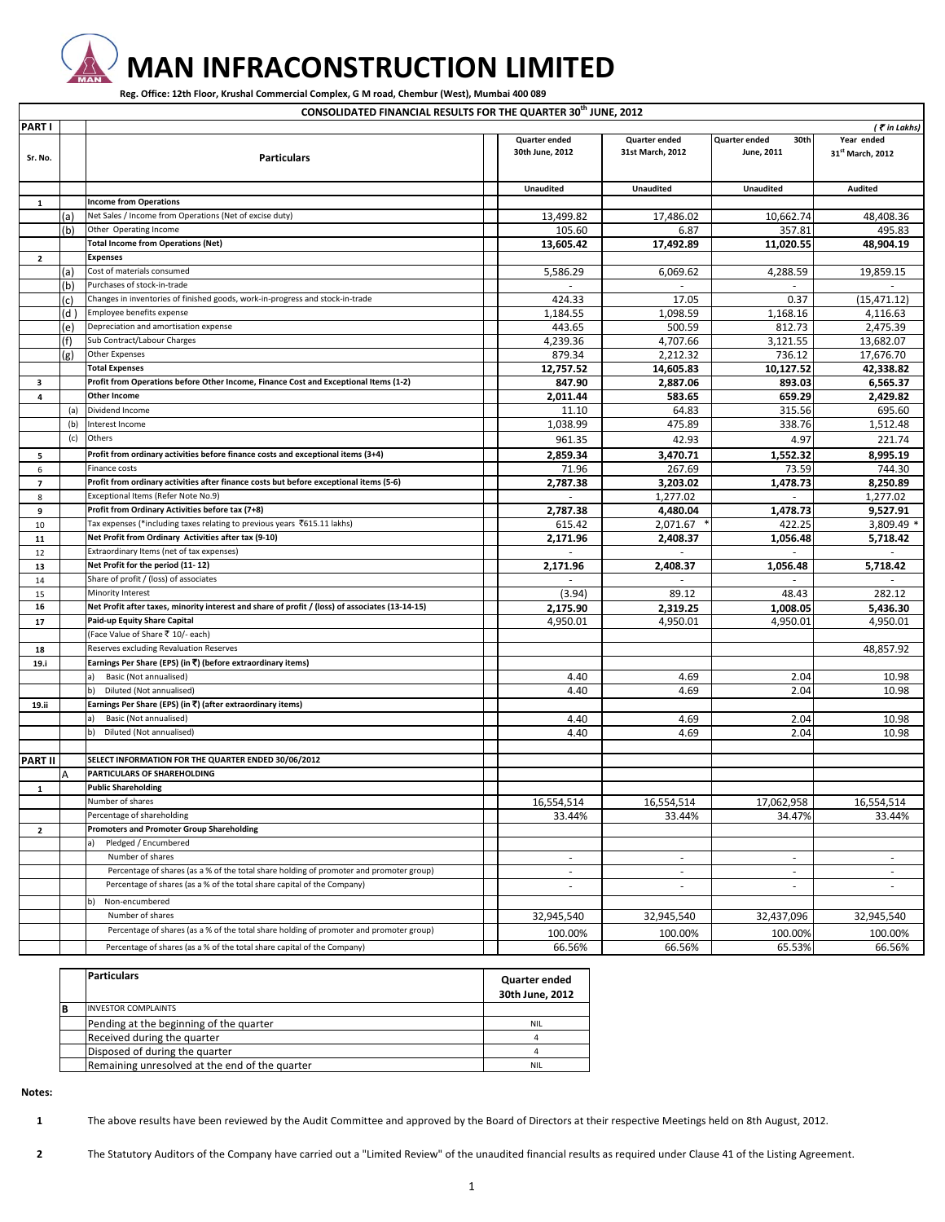

 $\Gamma$ 

## **MAN INFRACONSTRUCTION LIMITED**

Reg. Office: 12th Floor, Krushal Commercial Complex, G M road, Chembur (West), Mumbai 400 089

**CONSOLIDATED FINANCIAL RESULTS FOR THE QUARTER 30th JUNE, 2012**

| <b>PARTI</b>   |      |                                                                                                 |                          |                  |                       | (₹in Lakhs)                  |
|----------------|------|-------------------------------------------------------------------------------------------------|--------------------------|------------------|-----------------------|------------------------------|
|                |      |                                                                                                 | Quarter ended            | Quarter ended    | Quarter ended<br>30th | Year ended                   |
| Sr. No.        |      | <b>Particulars</b>                                                                              | 30th June, 2012          | 31st March, 2012 | June, 2011            | 31 <sup>st</sup> March, 2012 |
|                |      |                                                                                                 |                          |                  |                       |                              |
|                |      |                                                                                                 |                          |                  |                       |                              |
|                |      |                                                                                                 | <b>Unaudited</b>         | Unaudited        | <b>Unaudited</b>      | <b>Audited</b>               |
| $\mathbf{1}$   |      | <b>Income from Operations</b>                                                                   |                          |                  |                       |                              |
|                | (a)  | Net Sales / Income from Operations (Net of excise duty)                                         | 13,499.82                | 17,486.02        | 10,662.74             | 48,408.36                    |
|                | (b)  | Other Operating Income                                                                          | 105.60                   | 6.87             | 357.81                | 495.83                       |
|                |      | <b>Total Income from Operations (Net)</b>                                                       | 13,605.42                | 17,492.89        | 11,020.55             | 48,904.19                    |
| $\overline{2}$ |      | <b>Expenses</b>                                                                                 |                          |                  |                       |                              |
|                | (a)  | Cost of materials consumed                                                                      | 5,586.29                 | 6.069.62         | 4,288.59              | 19,859.15                    |
|                | (b)  | Purchases of stock-in-trade                                                                     |                          |                  |                       |                              |
|                | (c)  | Changes in inventories of finished goods, work-in-progress and stock-in-trade                   | 424.33                   | 17.05            | 0.37                  | (15, 471.12)                 |
|                | (d ) | Employee benefits expense                                                                       | 1,184.55                 | 1.098.59         | 1,168.16              | 4.116.63                     |
|                | (e)  | Depreciation and amortisation expense                                                           | 443.65                   | 500.59           | 812.73                | 2,475.39                     |
|                | (f)  | Sub Contract/Labour Charges                                                                     | 4,239.36                 | 4,707.66         | 3,121.55              | 13,682.07                    |
|                | (g)  | <b>Other Expenses</b>                                                                           | 879.34                   | 2,212.32         | 736.12                | 17,676.70                    |
|                |      | <b>Total Expenses</b>                                                                           | 12,757.52                | 14,605.83        | 10,127.52             | 42,338.82                    |
| з              |      | Profit from Operations before Other Income, Finance Cost and Exceptional Items (1-2)            | 847.90                   | 2,887.06         | 893.03                | 6,565.37                     |
| $\overline{4}$ |      | <b>Other Income</b>                                                                             | 2,011.44                 | 583.65           | 659.29                | 2,429.82                     |
|                | (a)  | Dividend Income                                                                                 | 11.10                    | 64.83            | 315.56                | 695.60                       |
|                | (b)  | Interest Income                                                                                 | 1,038.99                 | 475.89           | 338.76                | 1,512.48                     |
|                | (c)  | Others                                                                                          | 961.35                   | 42.93            | 4.97                  | 221.74                       |
| 5              |      | Profit from ordinary activities before finance costs and exceptional items (3+4)                | 2,859.34                 | 3.470.71         | 1.552.32              | 8,995.19                     |
| 6              |      | Finance costs                                                                                   | 71.96                    | 267.69           | 73.59                 | 744.30                       |
| $\overline{7}$ |      | Profit from ordinary activities after finance costs but before exceptional items (5-6)          | 2,787.38                 | 3.203.02         | 1,478.73              | 8.250.89                     |
| 8              |      | Exceptional Items (Refer Note No.9)                                                             |                          | 1,277.02         |                       | 1,277.02                     |
| 9              |      | Profit from Ordinary Activities before tax (7+8)                                                | 2,787.38                 | 4,480.04         | 1,478.73              | 9,527.91                     |
| 10             |      | Tax expenses (*including taxes relating to previous years ₹615.11 lakhs)                        | 615.42                   | 2,071.67         | 422.25                | 3,809.49 *                   |
| 11             |      | Net Profit from Ordinary Activities after tax (9-10)                                            | 2,171.96                 | 2,408.37         | 1,056.48              | 5,718.42                     |
| 12             |      | Extraordinary Items (net of tax expenses)                                                       |                          |                  |                       | $\sim$                       |
| 13             |      | Net Profit for the period (11-12)                                                               | 2,171.96                 | 2,408.37         | 1,056.48              | 5,718.42                     |
| 14             |      | Share of profit / (loss) of associates                                                          |                          | $\sim$           | $\sim$                | $\sim$                       |
| 15             |      | Minority Interest                                                                               | (3.94)                   | 89.12            | 48.43                 | 282.12                       |
| 16             |      | Net Profit after taxes, minority interest and share of profit / (loss) of associates (13-14-15) | 2,175.90                 | 2,319.25         | 1,008.05              | 5,436.30                     |
| 17             |      | Paid-up Equity Share Capital                                                                    | 4,950.01                 | 4,950.01         | 4,950.01              | 4,950.01                     |
|                |      | (Face Value of Share ₹ 10/- each)                                                               |                          |                  |                       |                              |
|                |      | Reserves excluding Revaluation Reserves                                                         |                          |                  |                       | 48,857.92                    |
| 18             |      | Earnings Per Share (EPS) (in ₹) (before extraordinary items)                                    |                          |                  |                       |                              |
| 19.i           |      | Basic (Not annualised)<br>a).                                                                   | 4.40                     | 4.69             | 2.04                  | 10.98                        |
|                |      | Diluted (Not annualised)<br>b)                                                                  | 4.40                     |                  |                       |                              |
|                |      | Earnings Per Share (EPS) (in ₹) (after extraordinary items)                                     |                          | 4.69             | 2.04                  | 10.98                        |
| 19.ii          |      | Basic (Not annualised)                                                                          |                          |                  |                       |                              |
|                |      | а)<br>Diluted (Not annualised)<br>b)                                                            | 4.40<br>4.40             | 4.69<br>4.69     | 2.04<br>2.04          | 10.98<br>10.98               |
|                |      |                                                                                                 |                          |                  |                       |                              |
| <b>PART II</b> |      | SELECT INFORMATION FOR THE QUARTER ENDED 30/06/2012                                             |                          |                  |                       |                              |
|                |      | PARTICULARS OF SHAREHOLDING                                                                     |                          |                  |                       |                              |
|                | А    | <b>Public Shareholding</b>                                                                      |                          |                  |                       |                              |
| 1              |      | Number of shares                                                                                |                          |                  |                       |                              |
|                |      |                                                                                                 | 16,554,514               | 16,554,514       | 17,062,958            | 16.554.514                   |
|                |      | Percentage of shareholding                                                                      | 33.44%                   | 33.44%           | 34.47%                | 33.44%                       |
| $\overline{2}$ |      | <b>Promoters and Promoter Group Shareholding</b>                                                |                          |                  |                       |                              |
|                |      | Pledged / Encumbered                                                                            |                          |                  |                       |                              |
|                |      | Number of shares                                                                                | $\sim$                   | $\sim$           | $\sim$                | $\sim$                       |
|                |      | Percentage of shares (as a % of the total share holding of promoter and promoter group)         | $\sim$                   | $\sim$           | $\sim$                | $\sim$                       |
|                |      | Percentage of shares (as a % of the total share capital of the Company)                         | $\overline{\phantom{a}}$ | $\sim$           | ٠                     |                              |
|                |      | Non-encumbered                                                                                  |                          |                  |                       |                              |
|                |      | Number of shares                                                                                | 32,945,540               | 32,945,540       | 32,437,096            | 32,945,540                   |
|                |      | Percentage of shares (as a % of the total share holding of promoter and promoter group)         | 100.00%                  | 100.00%          | 100.00%               | 100.00%                      |
|                |      | Percentage of shares (as a % of the total share capital of the Company)                         | 66.56%                   | 66.56%           | 65.53%                | 66.56%                       |

|   | <b>Particulars</b>                             | Quarter ended<br>30th June, 2012 |
|---|------------------------------------------------|----------------------------------|
| в | <b>INVESTOR COMPLAINTS</b>                     |                                  |
|   | Pending at the beginning of the quarter        | <b>NIL</b>                       |
|   | Received during the quarter                    |                                  |
|   | Disposed of during the quarter                 |                                  |
|   | Remaining unresolved at the end of the quarter | NIL                              |

**Notes:**

**1** The above results have been reviewed by the Audit Committee and approved by the Board of Directors at their respective Meetings held on 8th August, 2012.

**2** The Statutory Auditors of the Company have carried out a "Limited Review" of the unaudited financial results as required under Clause 41 of the Listing Agreement.